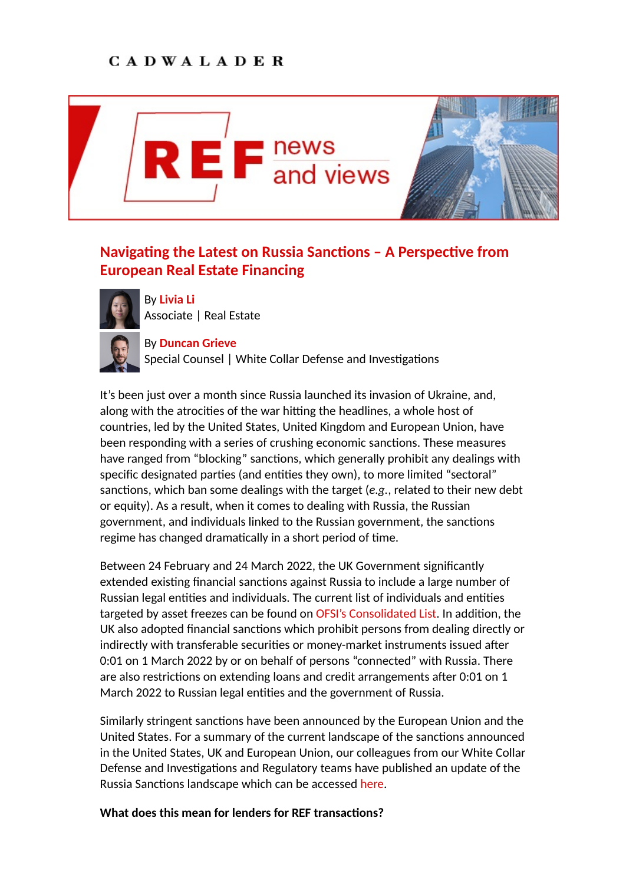## **CADWALADER**



## Navigating the Latest on Russia Sanctions - A Perspective from **European Real Estate Financing**



By **[Livia Li](https://www.cadwalader.com/professionals/livia-li)** Associate | Real Estate



By **[Duncan Grieve](https://www.cadwalader.com/professionals/duncan-grieve)** Special Counsel | White Collar Defense and Investigations

It's been just over a month since Russia launched its invasion of Ukraine, and, along with the atrocities of the war hitting the headlines, a whole host of countries, led by the United States, United Kingdom and European Union, have been responding with a series of crushing economic sanctions. These measures have ranged from "blocking" sanctions, which generally prohibit any dealings with specific designated parties (and entities they own), to more limited "sectoral" sanctions, which ban some dealings with the target (e.g., related to their new debt or equity). As a result, when it comes to dealing with Russia, the Russian government, and individuals linked to the Russian government, the sanctions regime has changed dramatically in a short period of time.

Between 24 February and 24 March 2022, the UK Government significantly extended existing financial sanctions against Russia to include a large number of Russian legal entities and individuals. The current list of individuals and entities targeted by asset freezes can be found on [OFSI's Consolidated List.](https://assets.publishing.service.gov.uk/government/uploads/system/uploads/attachment_data/file/1063496/Russia.pdf) In addition, the UK also adopted financial sanctions which prohibit persons from dealing directly or indirectly with transferable securities or money-market instruments issued after 0:01 on 1 March 2022 by or on behalf of persons "connected" with Russia. There are also restrictions on extending loans and credit arrangements after 0:01 on 1 March 2022 to Russian legal entities and the government of Russia.

Similarly stringent sanctions have been announced by the European Union and the United States. For a summary of the current landscape of the sanctions announced in the United States, UK and European Union, our colleagues from our White Collar Defense and Investigations and Regulatory teams have published an update of the Russia Sanctions landscape which can be accessed [here](https://www.cadwalader.com/resources/clients-friends-memos/taking-stock-a-survey-of-the-new-russia-sanctions-landscape).

## **What does this mean for lenders for REF transactions?**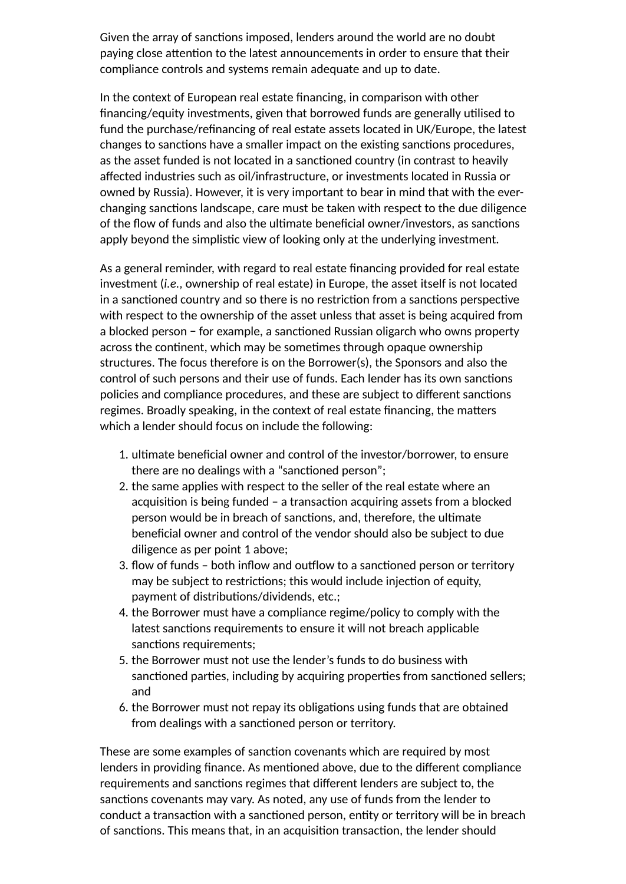Given the array of sanctions imposed, lenders around the world are no doubt paying close attention to the latest announcements in order to ensure that their compliance controls and systems remain adequate and up to date.

In the context of European real estate financing, in comparison with other financing/equity investments, given that borrowed funds are generally utilised to fund the purchase/refinancing of real estate assets located in UK/Europe, the latest changes to sanctions have a smaller impact on the existing sanctions procedures, as the asset funded is not located in a sanctioned country (in contrast to heavily affected industries such as oil/infrastructure, or investments located in Russia or owned by Russia). However, it is very important to bear in mind that with the everchanging sanctions landscape, care must be taken with respect to the due diligence of the flow of funds and also the ultimate beneficial owner/investors, as sanctions apply beyond the simplistic view of looking only at the underlying investment.

As a general reminder, with regard to real estate financing provided for real estate investment (*i.e.*, ownership of real estate) in Europe, the asset itself is not located in a sanctioned country and so there is no restriction from a sanctions perspective with respect to the ownership of the asset unless that asset is being acquired from a blocked person − for example, a sanctioned Russian oligarch who owns property across the continent, which may be sometimes through opaque ownership structures. The focus therefore is on the Borrower(s), the Sponsors and also the control of such persons and their use of funds. Each lender has its own sanctions policies and compliance procedures, and these are subject to different sanctions regimes. Broadly speaking, in the context of real estate financing, the matters which a lender should focus on include the following:

- 1. ultimate beneficial owner and control of the investor/borrower, to ensure there are no dealings with a "sanctioned person";
- 2. the same applies with respect to the seller of the real estate where an acquisition is being funded - a transaction acquiring assets from a blocked person would be in breach of sanctions, and, therefore, the ultimate beneficial owner and control of the vendor should also be subject to due diligence as per point 1 above;
- 3. flow of funds both inflow and outflow to a sanctioned person or territory may be subject to restrictions; this would include injection of equity, payment of distributions/dividends, etc.;
- 4. the Borrower must have a compliance regime/policy to comply with the latest sanctions requirements to ensure it will not breach applicable sanctions requirements;
- 5. the Borrower must not use the lender's funds to do business with sanctioned parties, including by acquiring properties from sanctioned sellers; and
- 6. the Borrower must not repay its obligations using funds that are obtained from dealings with a sanctioned person or territory.

These are some examples of sanction covenants which are required by most lenders in providing finance. As mentioned above, due to the different compliance requirements and sanctions regimes that different lenders are subject to, the sanctions covenants may vary. As noted, any use of funds from the lender to conduct a transaction with a sanctioned person, entity or territory will be in breach of sanctions. This means that, in an acquisition transaction, the lender should